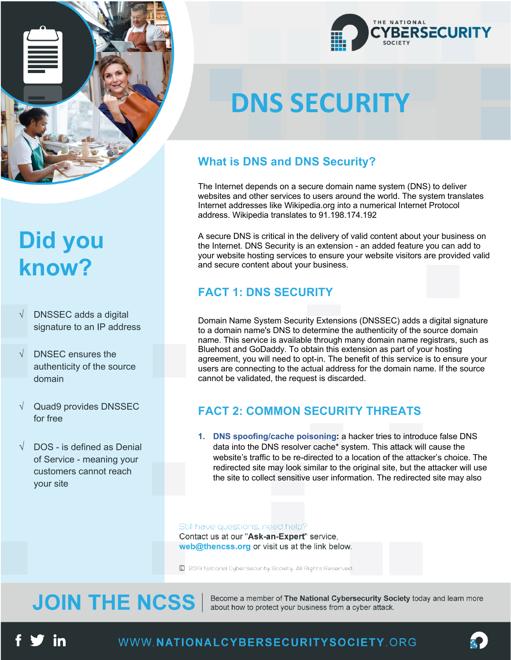

### **Did you know?**

- DNSSEC adds a digital signature to an IP address
- $\sqrt{ }$  DNSEC ensures the authenticity of the source domain
- $\sqrt{ }$  Quad9 provides DNSSEC for free
- DOS is defined as Denial of Service - meaning your customers cannot reach your site



# **DNS SECURITY**

### **What is DNS and DNS Security?**

The Internet depends on a secure domain name system (DNS) to deliver websites and other services to users around the world. The system translates Internet addresses like Wikipedia.org into a numerical Internet Protocol address. Wikipedia translates to 91.198.174.192

A secure DNS is critical in the delivery of valid content about your business on the Internet. DNS Security is an extension - an added feature you can add to your website hosting services to ensure your website visitors are provided valid and secure content about your business.

### **FACT 1: DNS SECURITY**

Domain Name System Security Extensions (DNSSEC) adds a digital signature to a domain name's DNS to determine the authenticity of the source domain name. This service is available through many domain name registrars, such as Bluehost and GoDaddy. To obtain this extension as part of your hosting agreement, you will need to opt-in. The benefit of this service is to ensure your users are connecting to the actual address for the domain name. If the source cannot be validated, the request is discarded.

#### **FACT 2: COMMON SECURITY THREATS**

**1. DNS spoofing/cache poisoning:** a hacker tries to introduce false DNS data into the DNS resolver cache\* system. This attack will cause the website's traffic to be re-directed to a location of the attacker's choice. The redirected site may look similar to the original site, but the attacker will use the site to collect sensitive user information. The redirected site may also

#### Still have questions, need help?

Contact us at our "Ask-an-Expert" service, web@thencss.org or visit us at the link below.

C 2019 National Cybersecurity Society. All Rights Reserved.

### **JOIN THE NCSS**

Become a member of The National Cybersecurity Society today and learn more about how to protect your business from a cyber attack.

in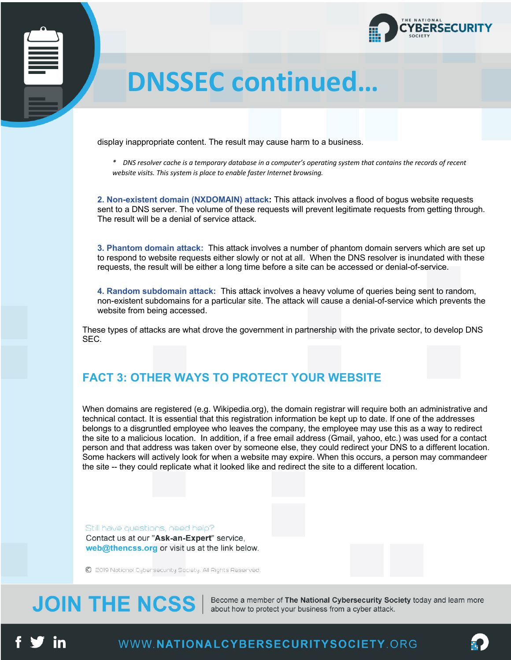

### **DMARC DNSSEC continued…**

display inappropriate content. The result may cause harm to a business.

*\* DNS resolver cache is a temporary database in a computer's operating system that contains the records of recent website visits. This system is place to enable faster Internet browsing.*

**2. Non-existent domain (NXDOMAIN) attack:** This attack involves a flood of bogus website requests sent to a DNS server. The volume of these requests will prevent legitimate requests from getting through. The result will be a denial of service attack.

**3. Phantom domain attack:** This attack involves a number of phantom domain servers which are set up to respond to website requests either slowly or not at all. When the DNS resolver is inundated with these requests, the result will be either a long time before a site can be accessed or denial-of-service.

**4. Random subdomain attack:** This attack involves a heavy volume of queries being sent to random, non-existent subdomains for a particular site. The attack will cause a denial-of-service which prevents the website from being accessed.

These types of attacks are what drove the government in partnership with the private sector, to develop DNS SEC.

#### **FACT 3: OTHER WAYS TO PROTECT YOUR WEBSITE**

When domains are registered (e.g. Wikipedia.org), the domain registrar will require both an administrative and technical contact. It is essential that this registration information be kept up to date. If one of the addresses belongs to a disgruntled employee who leaves the company, the employee may use this as a way to redirect the site to a malicious location. In addition, if a free email address (Gmail, yahoo, etc.) was used for a contact person and that address was taken over by someone else, they could redirect your DNS to a different location. Some hackers will actively look for when a website may expire. When this occurs, a person may commandeer the site -- they could replicate what it looked like and redirect the site to a different location.

Still have questions, need help? Contact us at our "Ask-an-Expert" service, web@thencss.org or visit us at the link below.

C 2019 National Cybersecurity Society. All Rights Reserved.

### **JOIN THE NCSS**

Become a member of The National Cybersecurity Society today and learn more about how to protect your business from a cyber attack.